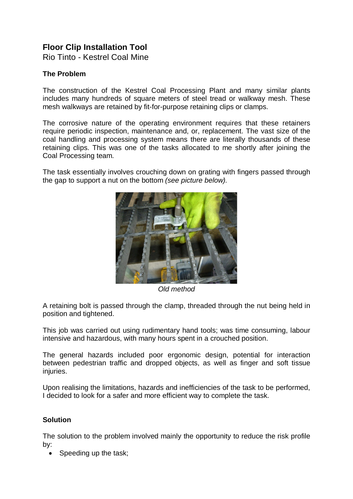# **Floor Clip Installation Tool**

Rio Tinto - Kestrel Coal Mine

# **The Problem**

The construction of the Kestrel Coal Processing Plant and many similar plants includes many hundreds of square meters of steel tread or walkway mesh. These mesh walkways are retained by fit-for-purpose retaining clips or clamps.

The corrosive nature of the operating environment requires that these retainers require periodic inspection, maintenance and, or, replacement. The vast size of the coal handling and processing system means there are literally thousands of these retaining clips. This was one of the tasks allocated to me shortly after joining the Coal Processing team.

The task essentially involves crouching down on grating with fingers passed through the gap to support a nut on the bottom *(see picture below).*



*Old method*

A retaining bolt is passed through the clamp, threaded through the nut being held in position and tightened.

This job was carried out using rudimentary hand tools; was time consuming, labour intensive and hazardous, with many hours spent in a crouched position.

The general hazards included poor ergonomic design, potential for interaction between pedestrian traffic and dropped objects, as well as finger and soft tissue injuries.

Upon realising the limitations, hazards and inefficiencies of the task to be performed, I decided to look for a safer and more efficient way to complete the task.

## **Solution**

The solution to the problem involved mainly the opportunity to reduce the risk profile by:

Speeding up the task;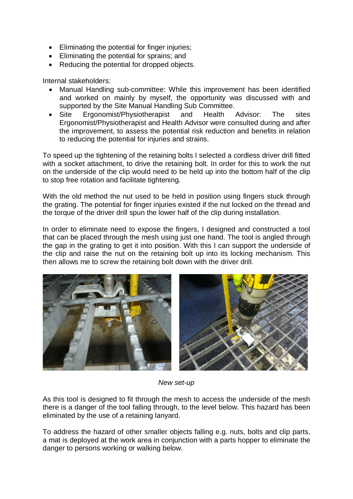- Eliminating the potential for finger injuries;
- Eliminating the potential for sprains; and
- Reducing the potential for dropped objects.

Internal stakeholders:

- Manual Handling sub-committee: While this improvement has been identified and worked on mainly by myself, the opportunity was discussed with and supported by the Site Manual Handling Sub Committee.
- Site Ergonomist/Physiotherapist and Health Advisor: The sites Ergonomist/Physiotherapist and Health Advisor were consulted during and after the improvement, to assess the potential risk reduction and benefits in relation to reducing the potential for injuries and strains.

To speed up the tightening of the retaining bolts I selected a cordless driver drill fitted with a socket attachment, to drive the retaining bolt. In order for this to work the nut on the underside of the clip would need to be held up into the bottom half of the clip to stop free rotation and facilitate tightening.

With the old method the nut used to be held in position using fingers stuck through the grating. The potential for finger injuries existed if the nut locked on the thread and the torque of the driver drill spun the lower half of the clip during installation.

In order to eliminate need to expose the fingers, I designed and constructed a tool that can be placed through the mesh using just one hand. The tool is angled through the gap in the grating to get it into position. With this I can support the underside of the clip and raise the nut on the retaining bolt up into its locking mechanism. This then allows me to screw the retaining bolt down with the driver drill.



*New set-up*

As this tool is designed to fit through the mesh to access the underside of the mesh there is a danger of the tool falling through, to the level below. This hazard has been eliminated by the use of a retaining lanyard.

To address the hazard of other smaller objects falling e.g. nuts, bolts and clip parts, a mat is deployed at the work area in conjunction with a parts hopper to eliminate the danger to persons working or walking below.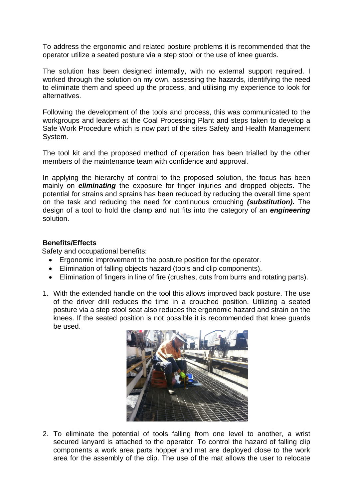To address the ergonomic and related posture problems it is recommended that the operator utilize a seated posture via a step stool or the use of knee guards.

The solution has been designed internally, with no external support required. I worked through the solution on my own, assessing the hazards, identifying the need to eliminate them and speed up the process, and utilising my experience to look for alternatives.

Following the development of the tools and process, this was communicated to the workgroups and leaders at the Coal Processing Plant and steps taken to develop a Safe Work Procedure which is now part of the sites Safety and Health Management System.

The tool kit and the proposed method of operation has been trialled by the other members of the maintenance team with confidence and approval.

In applying the hierarchy of control to the proposed solution, the focus has been mainly on *eliminating* the exposure for finger injuries and dropped objects. The potential for strains and sprains has been reduced by reducing the overall time spent on the task and reducing the need for continuous crouching *(substitution).* The design of a tool to hold the clamp and nut fits into the category of an *engineering* solution.

## **Benefits/Effects**

Safety and occupational benefits:

- Ergonomic improvement to the posture position for the operator.
- Elimination of falling objects hazard (tools and clip components).
- Elimination of fingers in line of fire (crushes, cuts from burrs and rotating parts).
- 1. With the extended handle on the tool this allows improved back posture. The use of the driver drill reduces the time in a crouched position. Utilizing a seated posture via a step stool seat also reduces the ergonomic hazard and strain on the knees. If the seated position is not possible it is recommended that knee guards be used.



2. To eliminate the potential of tools falling from one level to another, a wrist secured lanyard is attached to the operator. To control the hazard of falling clip components a work area parts hopper and mat are deployed close to the work area for the assembly of the clip. The use of the mat allows the user to relocate